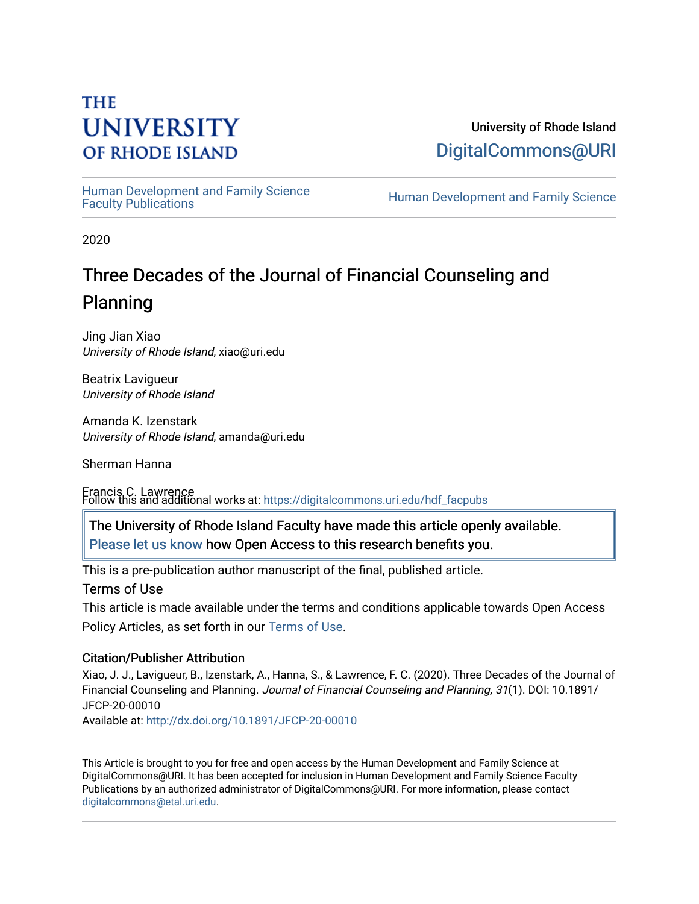# **THE UNIVERSITY OF RHODE ISLAND**

University of Rhode Island [DigitalCommons@URI](https://digitalcommons.uri.edu/) 

Human Development and Family Science<br>Faculty Publications

Human Development and Family Science

2020

# Three Decades of the Journal of Financial Counseling and Planning

Jing Jian Xiao University of Rhode Island, xiao@uri.edu

Beatrix Lavigueur University of Rhode Island

Amanda K. Izenstark University of Rhode Island, amanda@uri.edu

Sherman Hanna

Francis C. Lawrence Follow this and additional works at: [https://digitalcommons.uri.edu/hdf\\_facpubs](https://digitalcommons.uri.edu/hdf_facpubs?utm_source=digitalcommons.uri.edu%2Fhdf_facpubs%2F73&utm_medium=PDF&utm_campaign=PDFCoverPages) 

The University of Rhode Island Faculty have made this article openly available. [Please let us know](http://web.uri.edu/library-digital-initiatives/open-access-online-form/) how Open Access to this research benefits you.

This is a pre-publication author manuscript of the final, published article.

Terms of Use

This article is made available under the terms and conditions applicable towards Open Access Policy Articles, as set forth in our [Terms of Use](https://digitalcommons.uri.edu/hdf_facpubs/oa_policy_terms.html).

## Citation/Publisher Attribution

Xiao, J. J., Lavigueur, B., Izenstark, A., Hanna, S., & Lawrence, F. C. (2020). Three Decades of the Journal of Financial Counseling and Planning. Journal of Financial Counseling and Planning, 31(1). DOI: 10.1891/ JFCP-20-00010

Available at:<http://dx.doi.org/10.1891/JFCP-20-00010>

This Article is brought to you for free and open access by the Human Development and Family Science at DigitalCommons@URI. It has been accepted for inclusion in Human Development and Family Science Faculty Publications by an authorized administrator of DigitalCommons@URI. For more information, please contact [digitalcommons@etal.uri.edu](mailto:digitalcommons@etal.uri.edu).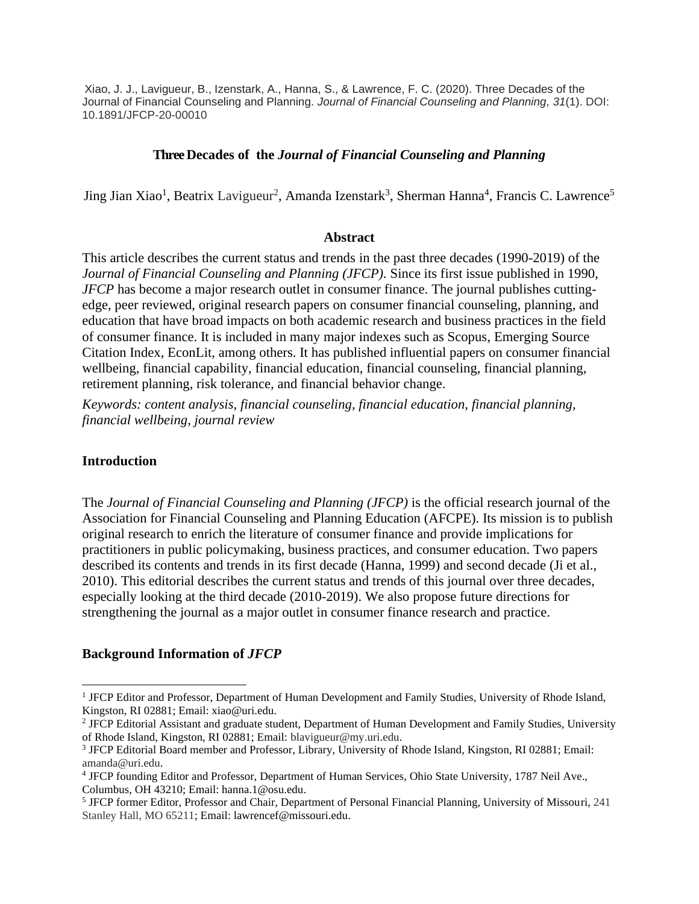Xiao, J. J., Lavigueur, B., Izenstark, A., Hanna, S., & Lawrence, F. C. (2020). Three Decades of the Journal of Financial Counseling and Planning. *Journal of Financial Counseling and Planning, 31*(1). DOI: 10.1891/JFCP-20-00010

#### **Three Decades of the** *Journal of Financial Counseling and Planning*

Jing Jian Xiao<sup>1</sup>, Beatrix Lavigueur<sup>2</sup>, Amanda Izenstark<sup>3</sup>, Sherman Hanna<sup>4</sup>, Francis C. Lawrence<sup>5</sup>

#### **Abstract**

This article describes the current status and trends in the past three decades (1990-2019) of the *Journal of Financial Counseling and Planning (JFCP).* Since its first issue published in 1990, *JFCP* has become a major research outlet in consumer finance. The journal publishes cuttingedge, peer reviewed, original research papers on consumer financial counseling, planning, and education that have broad impacts on both academic research and business practices in the field of consumer finance. It is included in many major indexes such as Scopus, Emerging Source Citation Index, EconLit, among others. It has published influential papers on consumer financial wellbeing, financial capability, financial education, financial counseling, financial planning, retirement planning, risk tolerance, and financial behavior change.

*Keywords: content analysis, financial counseling, financial education, financial planning, financial wellbeing, journal review*

#### **Introduction**

The *Journal of Financial Counseling and Planning (JFCP)* is the official research journal of the Association for Financial Counseling and Planning Education (AFCPE). Its mission is to publish original research to enrich the literature of consumer finance and provide implications for practitioners in public policymaking, business practices, and consumer education. Two papers described its contents and trends in its first decade (Hanna, 1999) and second decade (Ji et al., 2010). This editorial describes the current status and trends of this journal over three decades, especially looking at the third decade (2010-2019). We also propose future directions for strengthening the journal as a major outlet in consumer finance research and practice.

#### **Background Information of** *JFCP*

<sup>&</sup>lt;sup>1</sup> JFCP Editor and Professor, Department of Human Development and Family Studies, University of Rhode Island, Kingston, RI 02881; Email: xiao@uri.edu.

<sup>&</sup>lt;sup>2</sup> JFCP Editorial Assistant and graduate student, Department of Human Development and Family Studies, University of Rhode Island, Kingston, RI 02881; Email: blavigueur@my.uri.edu.

<sup>3</sup> JFCP Editorial Board member and Professor, Library, University of Rhode Island, Kingston, RI 02881; Email: amanda@uri.edu.

<sup>4</sup> JFCP founding Editor and Professor, Department of Human Services, Ohio State University, 1787 Neil Ave., Columbus, OH 43210; Email: hanna.1@osu.edu.

<sup>5</sup> JFCP former Editor, Professor and Chair, Department of Personal Financial Planning, University of Missouri, 241 Stanley Hall, MO 65211; Email: lawrencef@missouri.edu.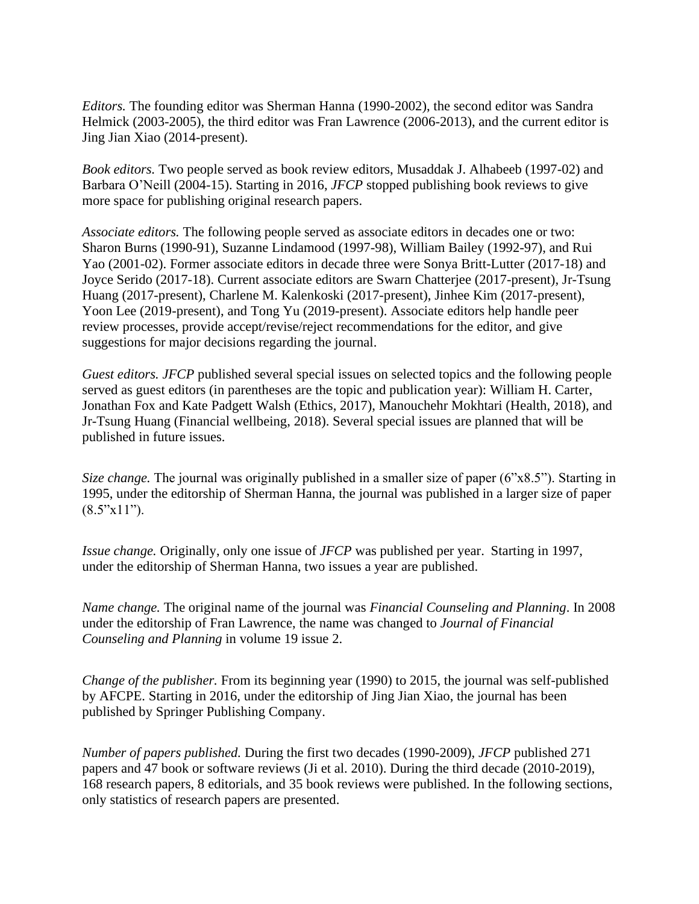*Editors.* The founding editor was Sherman Hanna (1990-2002), the second editor was Sandra Helmick (2003-2005), the third editor was Fran Lawrence (2006-2013), and the current editor is Jing Jian Xiao (2014-present).

*Book editors.* Two people served as book review editors, Musaddak J. Alhabeeb (1997-02) and Barbara O'Neill (2004-15). Starting in 2016, *JFCP* stopped publishing book reviews to give more space for publishing original research papers.

*Associate editors.* The following people served as associate editors in decades one or two: Sharon Burns (1990-91), Suzanne Lindamood (1997-98), William Bailey (1992-97), and Rui Yao (2001-02). Former associate editors in decade three were Sonya Britt-Lutter (2017-18) and Joyce Serido (2017-18). Current associate editors are Swarn Chatterjee (2017-present), Jr-Tsung Huang (2017-present), Charlene M. Kalenkoski (2017-present), Jinhee Kim (2017-present), Yoon Lee (2019-present), and Tong Yu (2019-present). Associate editors help handle peer review processes, provide accept/revise/reject recommendations for the editor, and give suggestions for major decisions regarding the journal.

*Guest editors. JFCP* published several special issues on selected topics and the following people served as guest editors (in parentheses are the topic and publication year): William H. Carter, Jonathan Fox and Kate Padgett Walsh (Ethics, 2017), Manouchehr Mokhtari (Health, 2018), and Jr-Tsung Huang (Financial wellbeing, 2018). Several special issues are planned that will be published in future issues.

*Size change.* The journal was originally published in a smaller size of paper (6"x8.5"). Starting in 1995, under the editorship of Sherman Hanna, the journal was published in a larger size of paper  $(8.5"x11"')$ .

*Issue change.* Originally, only one issue of *JFCP* was published per year. Starting in 1997, under the editorship of Sherman Hanna, two issues a year are published.

*Name change.* The original name of the journal was *Financial Counseling and Planning*. In 2008 under the editorship of Fran Lawrence, the name was changed to *Journal of Financial Counseling and Planning* in volume 19 issue 2.

*Change of the publisher.* From its beginning year (1990) to 2015, the journal was self-published by AFCPE. Starting in 2016, under the editorship of Jing Jian Xiao, the journal has been published by Springer Publishing Company.

*Number of papers published.* During the first two decades (1990-2009), *JFCP* published 271 papers and 47 book or software reviews (Ji et al. 2010). During the third decade (2010-2019), 168 research papers, 8 editorials, and 35 book reviews were published. In the following sections, only statistics of research papers are presented.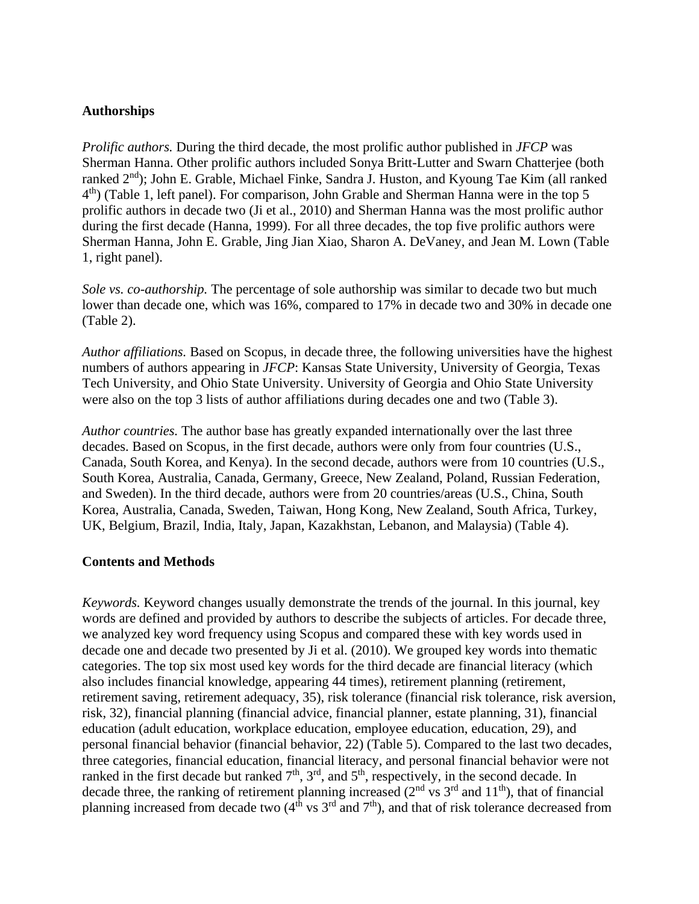#### **Authorships**

*Prolific authors.* During the third decade, the most prolific author published in *JFCP* was Sherman Hanna. Other prolific authors included Sonya Britt-Lutter and Swarn Chatterjee (both ranked 2<sup>nd</sup>); John E. Grable, Michael Finke, Sandra J. Huston, and Kyoung Tae Kim (all ranked 4<sup>th</sup>) (Table 1, left panel). For comparison, John Grable and Sherman Hanna were in the top 5 prolific authors in decade two (Ji et al., 2010) and Sherman Hanna was the most prolific author during the first decade (Hanna, 1999). For all three decades, the top five prolific authors were Sherman Hanna, John E. Grable, Jing Jian Xiao, Sharon A. DeVaney, and Jean M. Lown (Table 1, right panel).

*Sole vs. co-authorship.* The percentage of sole authorship was similar to decade two but much lower than decade one, which was 16%, compared to 17% in decade two and 30% in decade one (Table 2).

*Author affiliations.* Based on Scopus, in decade three, the following universities have the highest numbers of authors appearing in *JFCP*: Kansas State University, University of Georgia, Texas Tech University, and Ohio State University. University of Georgia and Ohio State University were also on the top 3 lists of author affiliations during decades one and two (Table 3).

*Author countries.* The author base has greatly expanded internationally over the last three decades. Based on Scopus, in the first decade, authors were only from four countries (U.S., Canada, South Korea, and Kenya). In the second decade, authors were from 10 countries (U.S., South Korea, Australia, Canada, Germany, Greece, New Zealand, Poland, Russian Federation, and Sweden). In the third decade, authors were from 20 countries/areas (U.S., China, South Korea, Australia, Canada, Sweden, Taiwan, Hong Kong, New Zealand, South Africa, Turkey, UK, Belgium, Brazil, India, Italy, Japan, Kazakhstan, Lebanon, and Malaysia) (Table 4).

#### **Contents and Methods**

*Keywords.* Keyword changes usually demonstrate the trends of the journal. In this journal, key words are defined and provided by authors to describe the subjects of articles. For decade three, we analyzed key word frequency using Scopus and compared these with key words used in decade one and decade two presented by Ji et al. (2010). We grouped key words into thematic categories. The top six most used key words for the third decade are financial literacy (which also includes financial knowledge, appearing 44 times), retirement planning (retirement, retirement saving, retirement adequacy, 35), risk tolerance (financial risk tolerance, risk aversion, risk, 32), financial planning (financial advice, financial planner, estate planning, 31), financial education (adult education, workplace education, employee education, education, 29), and personal financial behavior (financial behavior, 22) (Table 5). Compared to the last two decades, three categories, financial education, financial literacy, and personal financial behavior were not ranked in the first decade but ranked  $7<sup>th</sup>$ ,  $3<sup>rd</sup>$ , and  $5<sup>th</sup>$ , respectively, in the second decade. In decade three, the ranking of retirement planning increased ( $2<sup>nd</sup>$  vs  $3<sup>rd</sup>$  and  $11<sup>th</sup>$ ), that of financial planning increased from decade two  $(4<sup>th</sup>$  vs  $3<sup>rd</sup>$  and  $7<sup>th</sup>$ ), and that of risk tolerance decreased from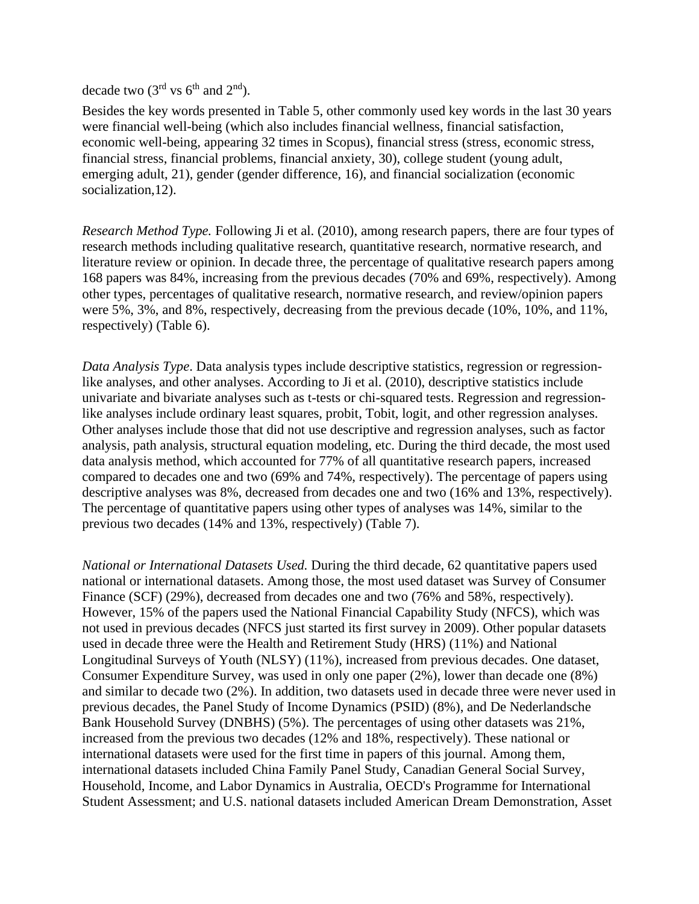decade two  $(3<sup>rd</sup>$  vs  $6<sup>th</sup>$  and  $2<sup>nd</sup>)$ .

Besides the key words presented in Table 5, other commonly used key words in the last 30 years were financial well-being (which also includes financial wellness, financial satisfaction, economic well-being, appearing 32 times in Scopus), financial stress (stress, economic stress, financial stress, financial problems, financial anxiety, 30), college student (young adult, emerging adult, 21), gender (gender difference, 16), and financial socialization (economic socialization, 12).

*Research Method Type.* Following Ji et al. (2010), among research papers, there are four types of research methods including qualitative research, quantitative research, normative research, and literature review or opinion. In decade three, the percentage of qualitative research papers among 168 papers was 84%, increasing from the previous decades (70% and 69%, respectively). Among other types, percentages of qualitative research, normative research, and review/opinion papers were 5%, 3%, and 8%, respectively, decreasing from the previous decade (10%, 10%, and 11%, respectively) (Table 6).

*Data Analysis Type*. Data analysis types include descriptive statistics, regression or regressionlike analyses, and other analyses. According to Ji et al. (2010), descriptive statistics include univariate and bivariate analyses such as t-tests or chi-squared tests. Regression and regressionlike analyses include ordinary least squares, probit, Tobit, logit, and other regression analyses. Other analyses include those that did not use descriptive and regression analyses, such as factor analysis, path analysis, structural equation modeling, etc. During the third decade, the most used data analysis method, which accounted for 77% of all quantitative research papers, increased compared to decades one and two (69% and 74%, respectively). The percentage of papers using descriptive analyses was 8%, decreased from decades one and two (16% and 13%, respectively). The percentage of quantitative papers using other types of analyses was 14%, similar to the previous two decades (14% and 13%, respectively) (Table 7).

*National or International Datasets Used.* During the third decade, 62 quantitative papers used national or international datasets. Among those, the most used dataset was Survey of Consumer Finance (SCF) (29%), decreased from decades one and two (76% and 58%, respectively). However, 15% of the papers used the National Financial Capability Study (NFCS), which was not used in previous decades (NFCS just started its first survey in 2009). Other popular datasets used in decade three were the Health and Retirement Study (HRS) (11%) and National Longitudinal Surveys of Youth (NLSY) (11%), increased from previous decades. One dataset, Consumer Expenditure Survey, was used in only one paper (2%), lower than decade one (8%) and similar to decade two (2%). In addition, two datasets used in decade three were never used in previous decades, the Panel Study of Income Dynamics (PSID) (8%), and De Nederlandsche Bank Household Survey (DNBHS) (5%). The percentages of using other datasets was 21%, increased from the previous two decades (12% and 18%, respectively). These national or international datasets were used for the first time in papers of this journal. Among them, international datasets included China Family Panel Study, Canadian General Social Survey, Household, Income, and Labor Dynamics in Australia, OECD's Programme for International Student Assessment; and U.S. national datasets included American Dream Demonstration, Asset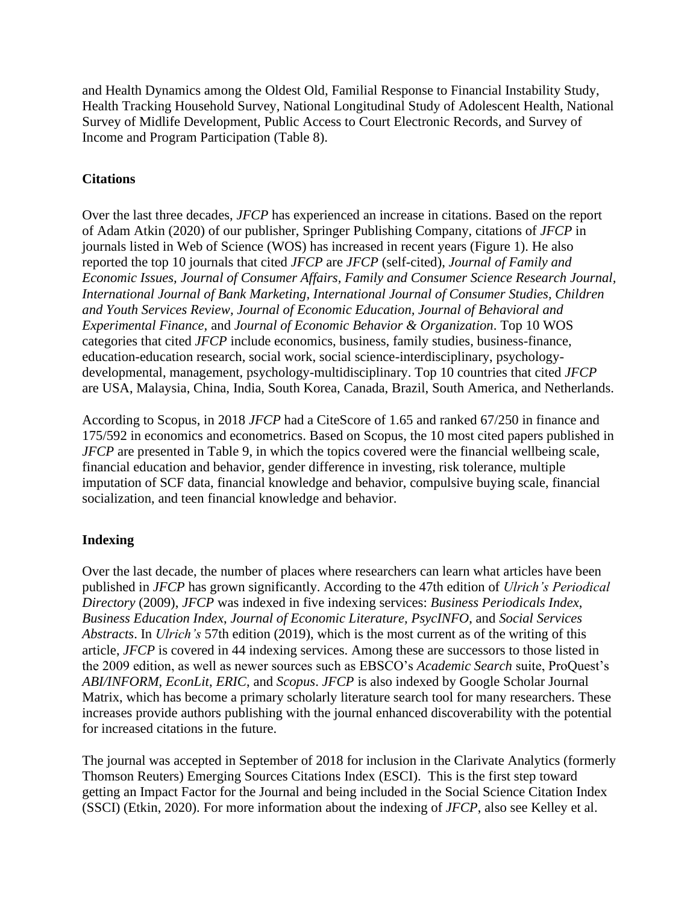and Health Dynamics among the Oldest Old, Familial Response to Financial Instability Study, Health Tracking Household Survey, National Longitudinal Study of Adolescent Health, National Survey of Midlife Development, Public Access to Court Electronic Records, and Survey of Income and Program Participation (Table 8).

## **Citations**

Over the last three decades, *JFCP* has experienced an increase in citations. Based on the report of Adam Atkin (2020) of our publisher, Springer Publishing Company, citations of *JFCP* in journals listed in Web of Science (WOS) has increased in recent years (Figure 1). He also reported the top 10 journals that cited *JFCP* are *JFCP* (self-cited), *Journal of Family and Economic Issues, Journal of Consumer Affairs, Family and Consumer Science Research Journal, International Journal of Bank Marketing, International Journal of Consumer Studies, Children and Youth Services Review, Journal of Economic Education, Journal of Behavioral and Experimental Finance,* and *Journal of Economic Behavior & Organization*. Top 10 WOS categories that cited *JFCP* include economics, business, family studies, business-finance, education-education research, social work, social science-interdisciplinary, psychologydevelopmental, management, psychology-multidisciplinary. Top 10 countries that cited *JFCP* are USA, Malaysia, China, India, South Korea, Canada, Brazil, South America, and Netherlands.

According to Scopus, in 2018 *JFCP* had a CiteScore of 1.65 and ranked 67/250 in finance and 175/592 in economics and econometrics. Based on Scopus, the 10 most cited papers published in *JFCP* are presented in Table 9, in which the topics covered were the financial wellbeing scale, financial education and behavior, gender difference in investing, risk tolerance, multiple imputation of SCF data, financial knowledge and behavior, compulsive buying scale, financial socialization, and teen financial knowledge and behavior.

## **Indexing**

Over the last decade, the number of places where researchers can learn what articles have been published in *JFCP* has grown significantly. According to the 47th edition of *Ulrich's Periodical Directory* (2009), *JFCP* was indexed in five indexing services: *Business Periodicals Index*, *Business Education Index*, *Journal of Economic Literature, PsycINFO*, and *Social Services Abstracts*. In *Ulrich's* 57th edition (2019), which is the most current as of the writing of this article, *JFCP* is covered in 44 indexing services. Among these are successors to those listed in the 2009 edition, as well as newer sources such as EBSCO's *Academic Search* suite, ProQuest's *ABI/INFORM*, *EconLit*, *ERIC*, and *Scopus*. *JFCP* is also indexed by Google Scholar Journal Matrix, which has become a primary scholarly literature search tool for many researchers. These increases provide authors publishing with the journal enhanced discoverability with the potential for increased citations in the future.

The journal was accepted in September of 2018 for inclusion in the Clarivate Analytics (formerly Thomson Reuters) Emerging Sources Citations Index (ESCI). This is the first step toward getting an Impact Factor for the Journal and being included in the Social Science Citation Index (SSCI) (Etkin, 2020). For more information about the indexing of *JFCP*, also see Kelley et al.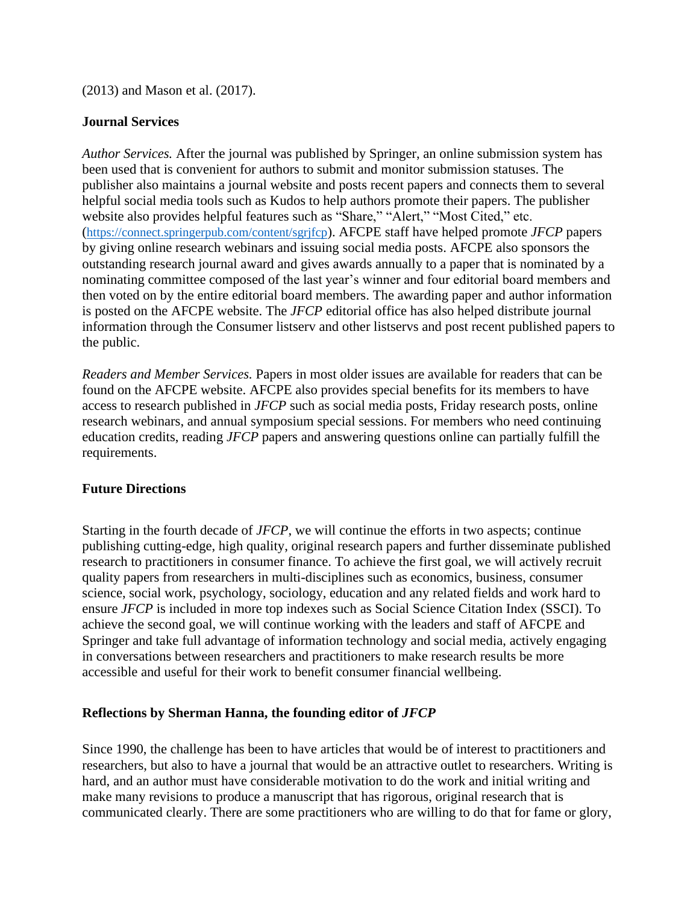(2013) and Mason et al. (2017).

### **Journal Services**

*Author Services.* After the journal was published by Springer, an online submission system has been used that is convenient for authors to submit and monitor submission statuses. The publisher also maintains a journal website and posts recent papers and connects them to several helpful social media tools such as Kudos to help authors promote their papers. The publisher website also provides helpful features such as "Share," "Alert," "Most Cited," etc. (<https://connect.springerpub.com/content/sgrjfcp>). AFCPE staff have helped promote *JFCP* papers by giving online research webinars and issuing social media posts. AFCPE also sponsors the outstanding research journal award and gives awards annually to a paper that is nominated by a nominating committee composed of the last year's winner and four editorial board members and then voted on by the entire editorial board members. The awarding paper and author information is posted on the AFCPE website. The *JFCP* editorial office has also helped distribute journal information through the Consumer listserv and other listservs and post recent published papers to the public.

*Readers and Member Services.* Papers in most older issues are available for readers that can be found on the AFCPE website. AFCPE also provides special benefits for its members to have access to research published in *JFCP* such as social media posts, Friday research posts, online research webinars, and annual symposium special sessions. For members who need continuing education credits, reading *JFCP* papers and answering questions online can partially fulfill the requirements.

## **Future Directions**

Starting in the fourth decade of *JFCP*, we will continue the efforts in two aspects; continue publishing cutting-edge, high quality, original research papers and further disseminate published research to practitioners in consumer finance. To achieve the first goal, we will actively recruit quality papers from researchers in multi-disciplines such as economics, business, consumer science, social work, psychology, sociology, education and any related fields and work hard to ensure *JFCP* is included in more top indexes such as Social Science Citation Index (SSCI). To achieve the second goal, we will continue working with the leaders and staff of AFCPE and Springer and take full advantage of information technology and social media, actively engaging in conversations between researchers and practitioners to make research results be more accessible and useful for their work to benefit consumer financial wellbeing.

## **Reflections by Sherman Hanna, the founding editor of** *JFCP*

Since 1990, the challenge has been to have articles that would be of interest to practitioners and researchers, but also to have a journal that would be an attractive outlet to researchers. Writing is hard, and an author must have considerable motivation to do the work and initial writing and make many revisions to produce a manuscript that has rigorous, original research that is communicated clearly. There are some practitioners who are willing to do that for fame or glory,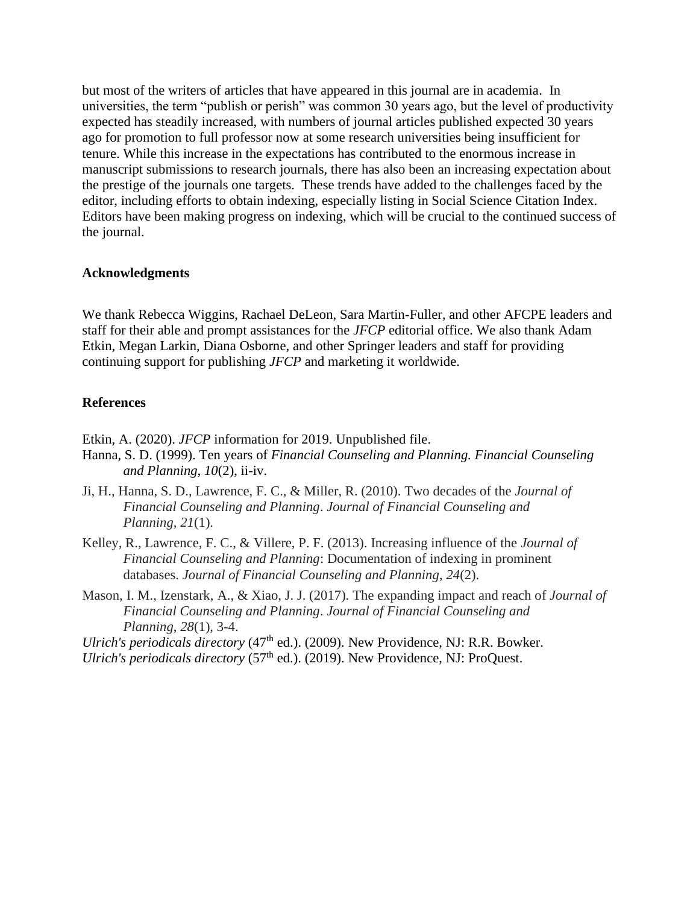but most of the writers of articles that have appeared in this journal are in academia. In universities, the term "publish or perish" was common 30 years ago, but the level of productivity expected has steadily increased, with numbers of journal articles published expected 30 years ago for promotion to full professor now at some research universities being insufficient for tenure. While this increase in the expectations has contributed to the enormous increase in manuscript submissions to research journals, there has also been an increasing expectation about the prestige of the journals one targets. These trends have added to the challenges faced by the editor, including efforts to obtain indexing, especially listing in Social Science Citation Index. Editors have been making progress on indexing, which will be crucial to the continued success of the journal.

#### **Acknowledgments**

We thank Rebecca Wiggins, Rachael DeLeon, Sara Martin-Fuller, and other AFCPE leaders and staff for their able and prompt assistances for the *JFCP* editorial office. We also thank Adam Etkin, Megan Larkin, Diana Osborne, and other Springer leaders and staff for providing continuing support for publishing *JFCP* and marketing it worldwide.

#### **References**

Etkin, A. (2020). *JFCP* information for 2019. Unpublished file.

- Hanna, S. D. (1999). Ten years of *Financial Counseling and Planning. Financial Counseling and Planning, 10*(2), ii-iv.
- Ji, H., Hanna, S. D., Lawrence, F. C., & Miller, R. (2010). Two decades of the *Journal of Financial Counseling and Planning*. *Journal of Financial Counseling and Planning*, *21*(1).
- Kelley, R., Lawrence, F. C., & Villere, P. F. (2013). Increasing influence of the *Journal of Financial Counseling and Planning*: Documentation of indexing in prominent databases. *Journal of Financial Counseling and Planning*, *24*(2).
- Mason, I. M., Izenstark, A., & Xiao, J. J. (2017). The expanding impact and reach of *Journal of Financial Counseling and Planning*. *Journal of Financial Counseling and Planning*, *28*(1), 3-4.

*Ulrich's periodicals directory* (47<sup>th</sup> ed.). (2009). New Providence, NJ: R.R. Bowker. *Ulrich's periodicals directory* (57<sup>th</sup> ed.). (2019). New Providence, NJ: ProQuest.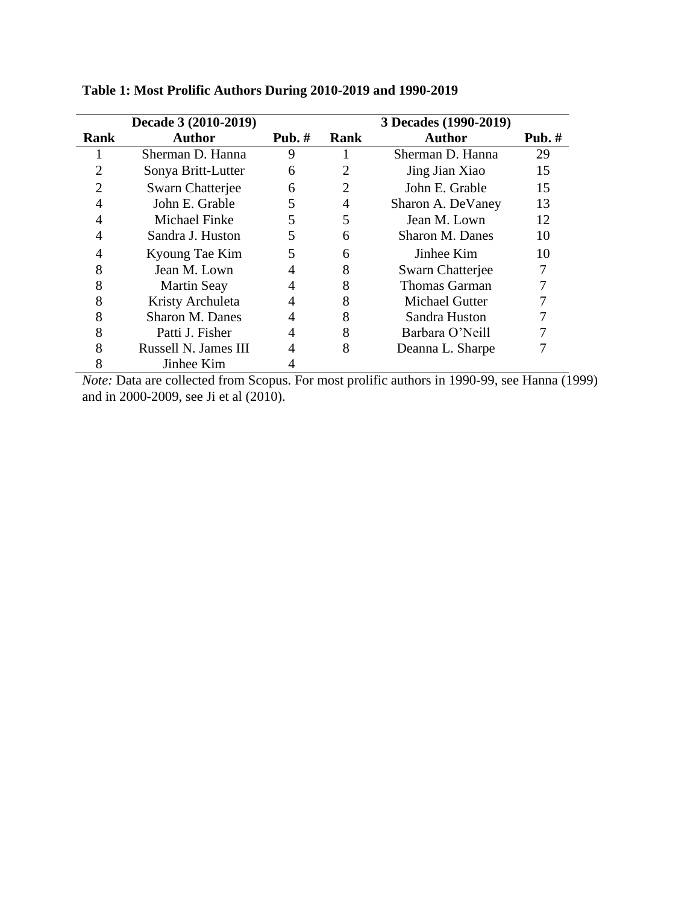|      | Decade 3 (2010-2019)   |          |      | 3 Decades (1990-2019) |          |
|------|------------------------|----------|------|-----------------------|----------|
| Rank | <b>Author</b>          | Pub. $#$ | Rank | <b>Author</b>         | Pub. $#$ |
|      | Sherman D. Hanna       | 9        |      | Sherman D. Hanna      | 29       |
| 2    | Sonya Britt-Lutter     | 6        | 2    | Jing Jian Xiao        | 15       |
| 2    | Swarn Chatterjee       | 6        | 2    | John E. Grable        | 15       |
| 4    | John E. Grable         | 5        | 4    | Sharon A. DeVaney     | 13       |
|      | <b>Michael Finke</b>   | 5        | 5    | Jean M. Lown          | 12       |
|      | Sandra J. Huston       | 5        | 6    | Sharon M. Danes       | 10       |
| 4    | Kyoung Tae Kim         | 5        | 6    | Jinhee Kim            | 10       |
| 8    | Jean M. Lown           | 4        | 8    | Swarn Chatterjee      |          |
| 8    | <b>Martin Seay</b>     | 4        | 8    | <b>Thomas Garman</b>  |          |
| 8    | Kristy Archuleta       | 4        | 8    | <b>Michael Gutter</b> |          |
| 8    | <b>Sharon M. Danes</b> | 4        | 8    | Sandra Huston         |          |
| 8    | Patti J. Fisher        | 4        | 8    | Barbara O'Neill       |          |
| 8    | Russell N. James III   | 4        | 8    | Deanna L. Sharpe      |          |
| 8    | Jinhee Kim             |          |      |                       |          |

**Table 1: Most Prolific Authors During 2010-2019 and 1990-2019**

*Note:* Data are collected from Scopus. For most prolific authors in 1990-99, see Hanna (1999) and in 2000-2009, see Ji et al (2010).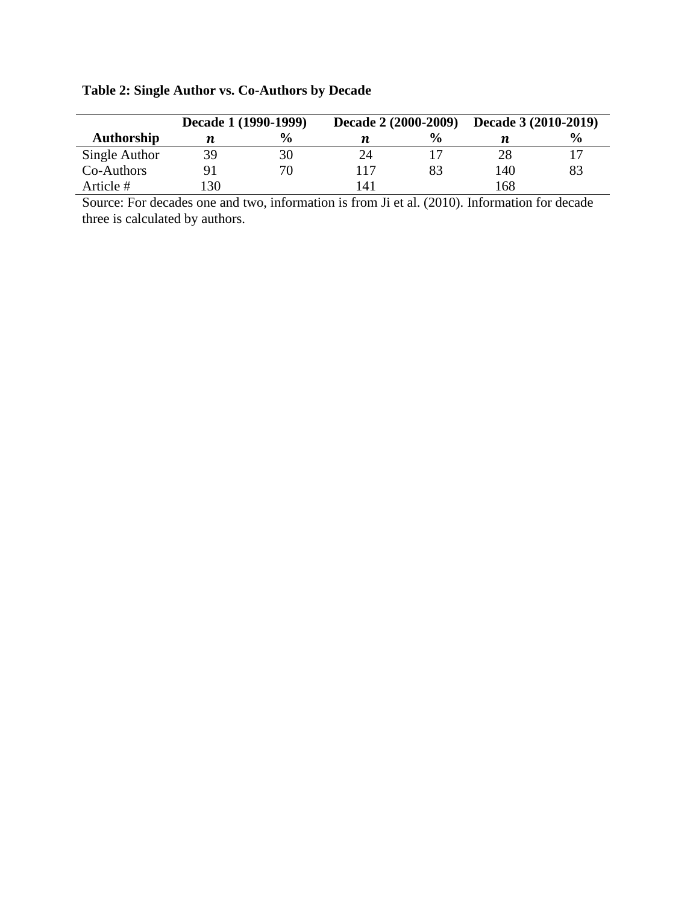|               | Decade 1 (1990-1999) |               | <b>Decade 2 (2000-2009)</b> |               | Decade 3 (2010-2019) |               |
|---------------|----------------------|---------------|-----------------------------|---------------|----------------------|---------------|
| Authorship    | n                    | $\frac{6}{6}$ | п                           | $\frac{6}{9}$ |                      | $\frac{6}{9}$ |
| Single Author | 39                   | 30            | 24                          |               | 28                   |               |
| Co-Authors    | 91                   | 70            | 117                         | 83            | 140                  | 83            |
| Article #     | 130                  |               | l 41                        |               | 68                   |               |

# **Table 2: Single Author vs. Co-Authors by Decade**

Source: For decades one and two, information is from Ji et al. (2010). Information for decade three is calculated by authors.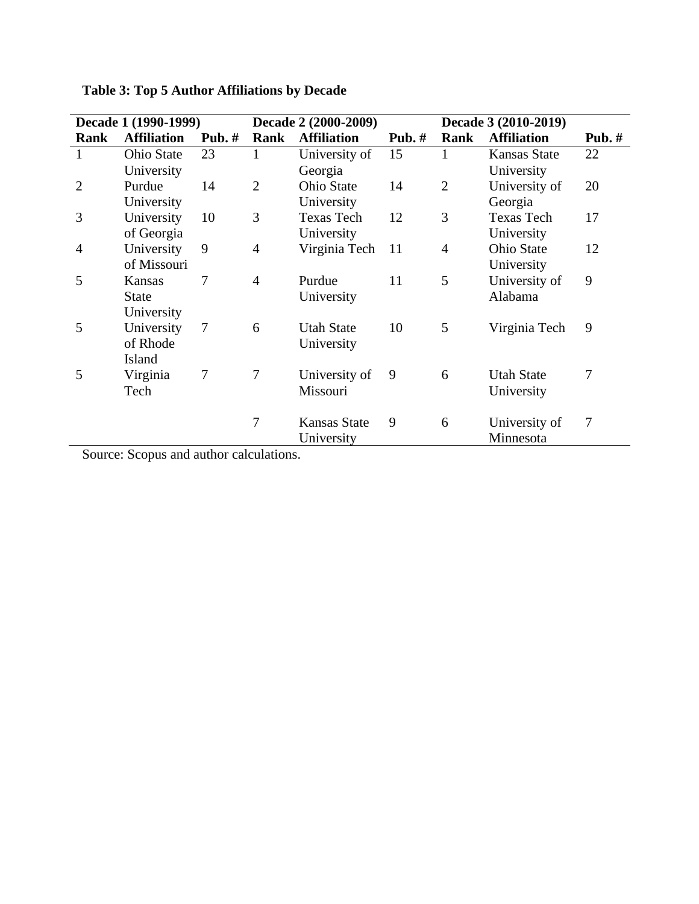|                | Decade 1 (1990-1999) |          | Decade 2 (2000-2009) |                     |          | Decade 3 (2010-2019) |                    |          |
|----------------|----------------------|----------|----------------------|---------------------|----------|----------------------|--------------------|----------|
| Rank           | <b>Affiliation</b>   | Pub. $#$ | Rank                 | <b>Affiliation</b>  | Pub. $#$ | Rank                 | <b>Affiliation</b> | Pub. $#$ |
| $\mathbf{1}$   | <b>Ohio State</b>    | 23       | 1                    | University of       | 15       |                      | Kansas State       | 22       |
|                | University           |          |                      | Georgia             |          |                      | University         |          |
| $\overline{2}$ | Purdue               | 14       | $\overline{2}$       | <b>Ohio State</b>   | 14       | $\overline{2}$       | University of      | 20       |
|                | University           |          |                      | University          |          |                      | Georgia            |          |
| 3              | University           | 10       | 3                    | <b>Texas Tech</b>   | 12       | 3                    | <b>Texas Tech</b>  | 17       |
|                | of Georgia           |          |                      | University          |          |                      | University         |          |
| $\overline{4}$ | University           | 9        | 4                    | Virginia Tech       | 11       | $\overline{4}$       | <b>Ohio State</b>  | 12       |
|                | of Missouri          |          |                      |                     |          |                      | University         |          |
| 5              | Kansas               | 7        | 4                    | Purdue              | 11       | 5                    | University of      | 9        |
|                | <b>State</b>         |          |                      | University          |          |                      | Alabama            |          |
|                | University           |          |                      |                     |          |                      |                    |          |
| 5              | University           | $\tau$   | 6                    | <b>Utah State</b>   | 10       | 5                    | Virginia Tech      | 9        |
|                | of Rhode             |          |                      | University          |          |                      |                    |          |
|                | Island               |          |                      |                     |          |                      |                    |          |
| 5              | Virginia             | $\tau$   | 7                    | University of       | 9        | 6                    | <b>Utah State</b>  | 7        |
|                | Tech                 |          |                      | Missouri            |          |                      | University         |          |
|                |                      |          |                      |                     |          |                      |                    |          |
|                |                      |          | 7                    | <b>Kansas State</b> | 9        | 6                    | University of      | 7        |
|                |                      |          |                      | University          |          |                      | Minnesota          |          |

**Table 3: Top 5 Author Affiliations by Decade**

Source: Scopus and author calculations.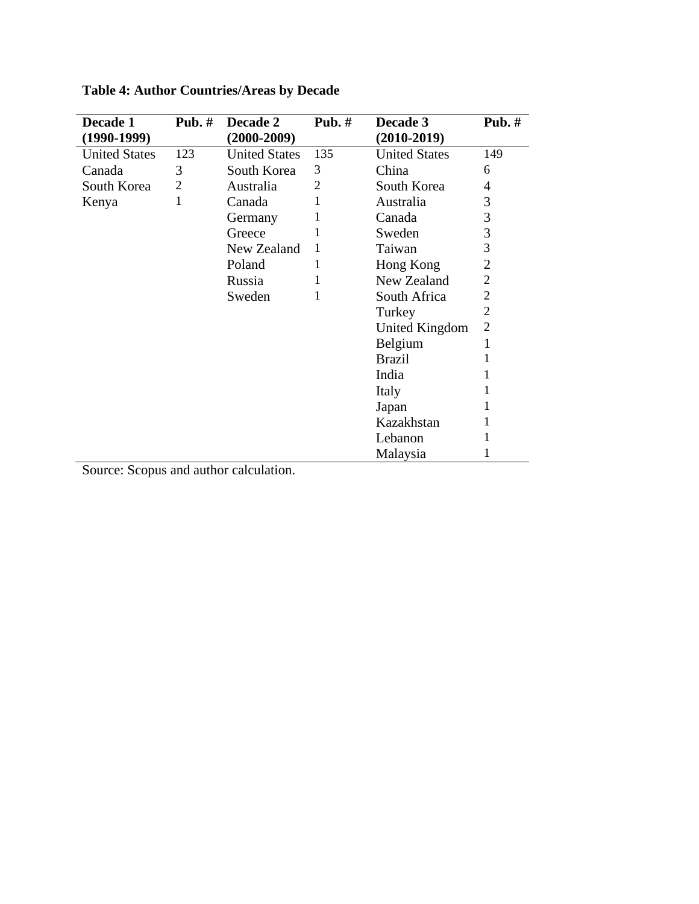| Decade 1             | Pub. $#$ | Decade 2             | Pub. $#$ | Decade 3             | Pub. $#$       |
|----------------------|----------|----------------------|----------|----------------------|----------------|
| $(1990-1999)$        |          | $(2000-2009)$        |          | $(2010-2019)$        |                |
| <b>United States</b> | 123      | <b>United States</b> | 135      | <b>United States</b> | 149            |
| Canada               | 3        | South Korea          | 3        | China                | 6              |
| South Korea          | 2        | Australia            | 2        | South Korea          | 4              |
| Kenya                | 1        | Canada               | 1        | Australia            | 3              |
|                      |          | Germany              | 1        | Canada               | 3              |
|                      |          | Greece               | 1        | Sweden               | 3              |
|                      |          | New Zealand          | 1        | Taiwan               | 3              |
|                      |          | Poland               | 1        | Hong Kong            | $\overline{2}$ |
|                      |          | Russia               | 1        | New Zealand          | $\overline{2}$ |
|                      |          | Sweden               | 1        | South Africa         | 2              |
|                      |          |                      |          | Turkey               | 2              |
|                      |          |                      |          | United Kingdom       | $\overline{2}$ |
|                      |          |                      |          | Belgium              | 1              |
|                      |          |                      |          | <b>Brazil</b>        |                |
|                      |          |                      |          | India                |                |
|                      |          |                      |          | Italy                |                |
|                      |          |                      |          | Japan                |                |
|                      |          |                      |          | Kazakhstan           |                |
|                      |          |                      |          | Lebanon              | 1              |
|                      |          |                      |          | Malaysia             | l              |

**Table 4: Author Countries/Areas by Decade**

Source: Scopus and author calculation.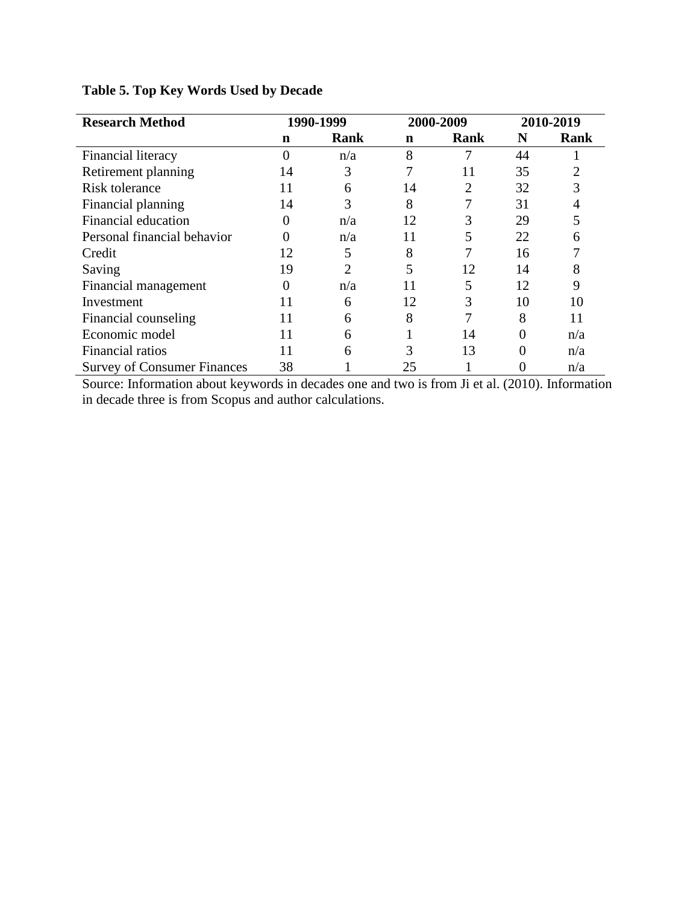| <b>Research Method</b>             |          | 1990-1999      |    | 2000-2009   | 2010-2019 |                |
|------------------------------------|----------|----------------|----|-------------|-----------|----------------|
|                                    | n        | Rank           | n  | <b>Rank</b> | N         | Rank           |
| Financial literacy                 | $\theta$ | n/a            | 8  |             | 44        |                |
| Retirement planning                | 14       | 3              |    | 11          | 35        | $\overline{2}$ |
| <b>Risk tolerance</b>              | 11       | 6              | 14 | 2           | 32        | 3              |
| Financial planning                 | 14       | 3              | 8  |             | 31        | 4              |
| Financial education                | 0        | n/a            | 12 | 3           | 29        | 5              |
| Personal financial behavior        | 0        | n/a            | 11 | 5           | 22        | 6              |
| Credit                             | 12       | 5              | 8  |             | 16        | 7              |
| Saving                             | 19       | $\mathfrak{D}$ | 5  | 12          | 14        | 8              |
| Financial management               | 0        | n/a            | 11 | 5           | 12        | 9              |
| Investment                         | 11       | 6              | 12 | 3           | 10        | 10             |
| Financial counseling               | 11       | 6              | 8  |             | 8         | 11             |
| Economic model                     | 11       | 6              |    | 14          | 0         | n/a            |
| Financial ratios                   | 11       | 6              | 3  | 13          | 0         | n/a            |
| <b>Survey of Consumer Finances</b> | 38       |                | 25 |             |           | n/a            |

## **Table 5. Top Key Words Used by Decade**

Source: Information about keywords in decades one and two is from Ji et al. (2010). Information in decade three is from Scopus and author calculations.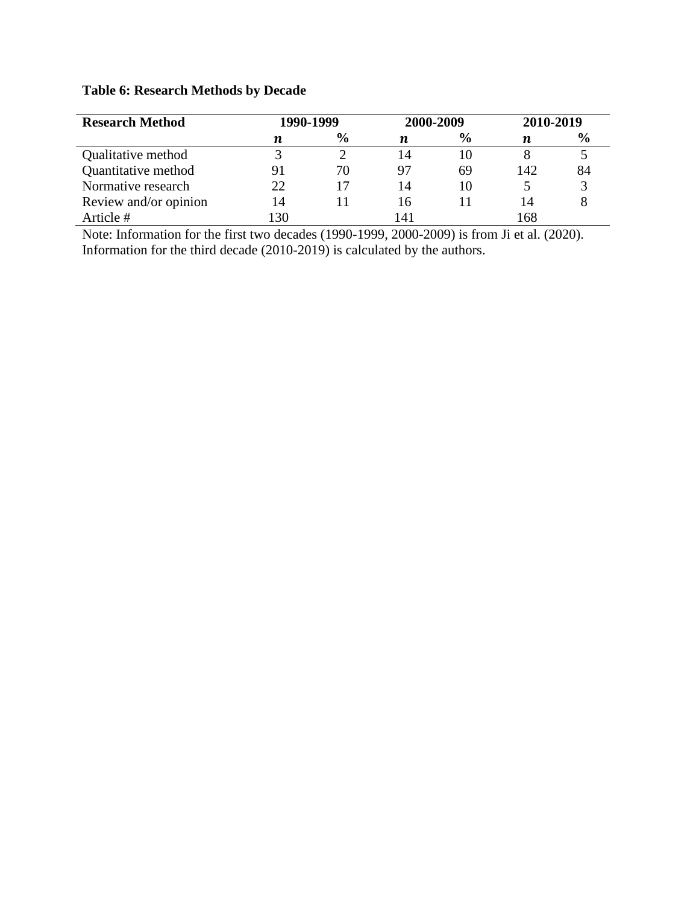# **Table 6: Research Methods by Decade**

| <b>Research Method</b> | 1990-1999        |               | 2000-2009              |               | 2010-2019 |               |
|------------------------|------------------|---------------|------------------------|---------------|-----------|---------------|
|                        | $\boldsymbol{n}$ | $\frac{6}{9}$ | п                      | $\frac{0}{0}$ | п         | $\frac{6}{9}$ |
| Qualitative method     |                  |               | 14                     |               |           |               |
| Quantitative method    | 91               | 70            | 97                     | 69            | 142       | 84            |
| Normative research     | 22               |               | 14                     | 10            |           |               |
| Review and/or opinion  | 14               |               | 16                     |               | 14        |               |
| Article #              | 30               |               | $\mathcal{A}^{\prime}$ |               |           |               |

Note: Information for the first two decades (1990-1999, 2000-2009) is from Ji et al. (2020). Information for the third decade (2010-2019) is calculated by the authors.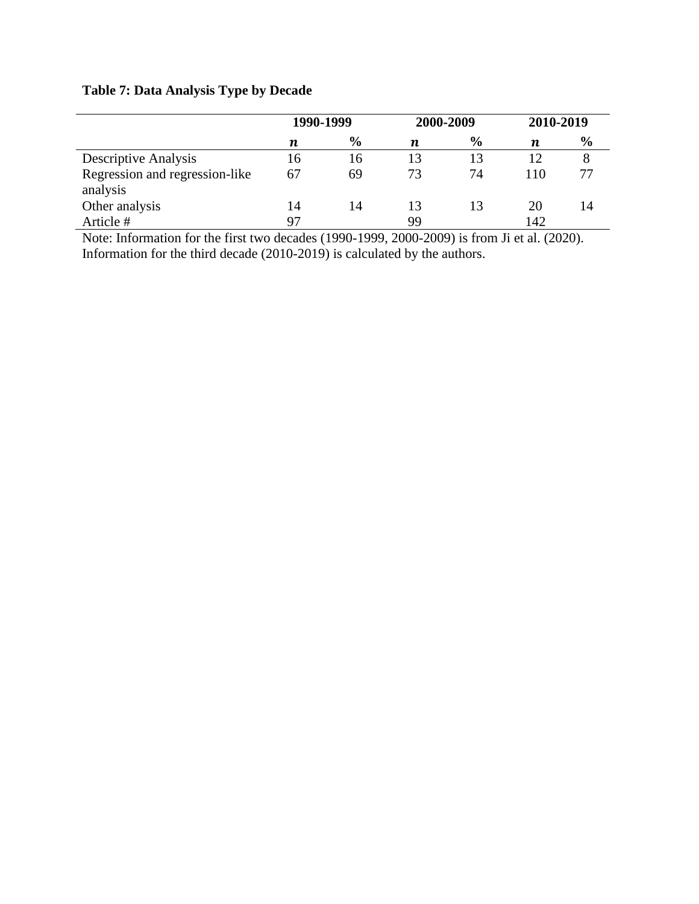# **Table 7: Data Analysis Type by Decade**

|                                            | 1990-1999 |               | 2000-2009 |               | 2010-2019 |               |
|--------------------------------------------|-----------|---------------|-----------|---------------|-----------|---------------|
|                                            | n         | $\frac{0}{0}$ | n         | $\frac{0}{0}$ | n         | $\frac{6}{6}$ |
| <b>Descriptive Analysis</b>                | 16        | 16            |           | 13            | 12        |               |
| Regression and regression-like<br>analysis | 67        | 69            | 73        | 74            | 110       |               |
| Other analysis                             | 14        | 14            |           | 13            | 20        | 14            |
| Article #                                  | 97        |               | 99        |               | 142       |               |

Note: Information for the first two decades (1990-1999, 2000-2009) is from Ji et al. (2020). Information for the third decade (2010-2019) is calculated by the authors.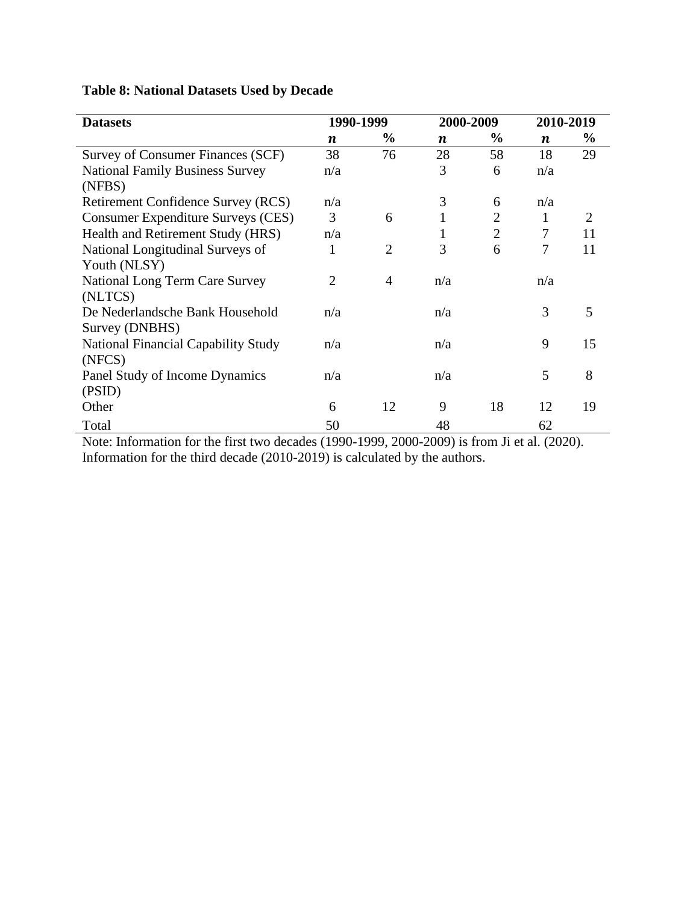| <b>Datasets</b>                                   | 1990-1999        |                |                  | 2000-2009      | 2010-2019        |                             |
|---------------------------------------------------|------------------|----------------|------------------|----------------|------------------|-----------------------------|
|                                                   | $\boldsymbol{n}$ | $\frac{6}{9}$  | $\boldsymbol{n}$ | $\%$           | $\boldsymbol{n}$ | $\frac{6}{9}$               |
| Survey of Consumer Finances (SCF)                 | 38               | 76             | 28               | 58             | 18               | 29                          |
| <b>National Family Business Survey</b><br>(NFBS)  | n/a              |                | 3                | 6              | n/a              |                             |
| Retirement Confidence Survey (RCS)                | n/a              |                | 3                | 6              | n/a              |                             |
| <b>Consumer Expenditure Surveys (CES)</b>         | 3                | 6              | 1                | $\overline{2}$ | 1                | $\mathcal{D}_{\mathcal{L}}$ |
| Health and Retirement Study (HRS)                 | n/a              |                | 1                | $\overline{2}$ | 7                | 11                          |
| National Longitudinal Surveys of<br>Youth (NLSY)  | 1                | 2              | 3                | 6              | 7                | 11                          |
| <b>National Long Term Care Survey</b><br>(NLTCS)  | $\overline{2}$   | $\overline{4}$ | n/a              |                | n/a              |                             |
| De Nederlandsche Bank Household<br>Survey (DNBHS) | n/a              |                | n/a              |                | 3                | 5                           |
| National Financial Capability Study<br>(NFCS)     | n/a              |                | n/a              |                | 9                | 15                          |
| Panel Study of Income Dynamics<br>(PSID)          | n/a              |                | n/a              |                | 5                | 8                           |
| Other                                             | 6                | 12             | 9                | 18             | 12               | 19                          |
| Total                                             | 50               |                | 48               |                | 62               |                             |

# **Table 8: National Datasets Used by Decade**

Note: Information for the first two decades (1990-1999, 2000-2009) is from Ji et al. (2020). Information for the third decade (2010-2019) is calculated by the authors.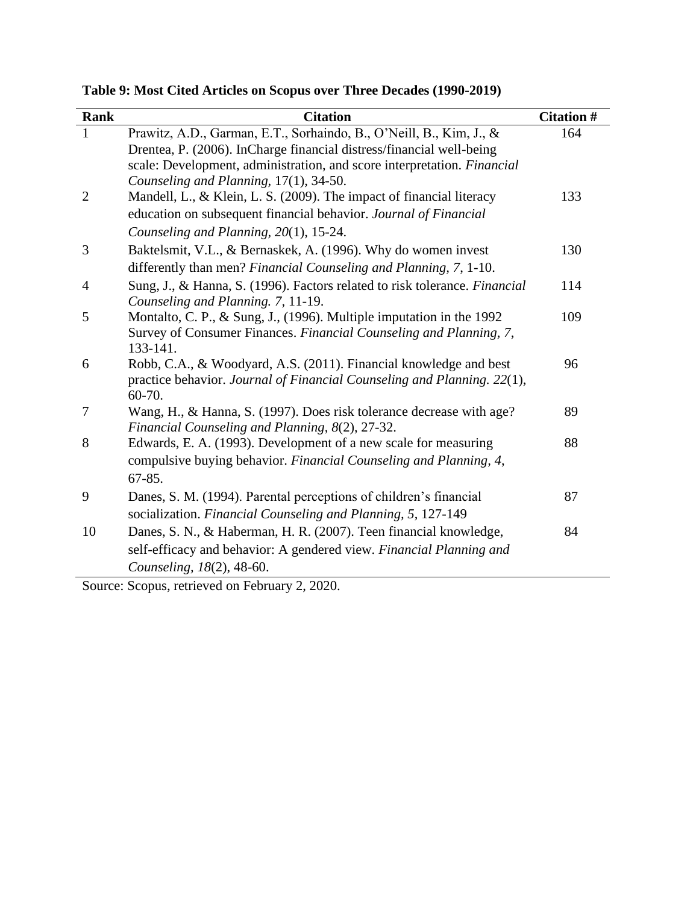**Table 9: Most Cited Articles on Scopus over Three Decades (1990-2019)**

| <b>Rank</b>    | <b>Citation</b>                                                                                                                                                                                                        | <b>Citation #</b> |
|----------------|------------------------------------------------------------------------------------------------------------------------------------------------------------------------------------------------------------------------|-------------------|
| $\mathbf{1}$   | Prawitz, A.D., Garman, E.T., Sorhaindo, B., O'Neill, B., Kim, J., &<br>Drentea, P. (2006). InCharge financial distress/financial well-being<br>scale: Development, administration, and score interpretation. Financial | 164               |
| $\overline{2}$ | Counseling and Planning, 17(1), 34-50.<br>Mandell, L., & Klein, L. S. (2009). The impact of financial literacy<br>education on subsequent financial behavior. Journal of Financial                                     | 133               |
|                | Counseling and Planning, 20(1), 15-24.                                                                                                                                                                                 |                   |
| 3              | Baktelsmit, V.L., & Bernaskek, A. (1996). Why do women invest<br>differently than men? Financial Counseling and Planning, 7, 1-10.                                                                                     | 130               |
| 4              | Sung, J., & Hanna, S. (1996). Factors related to risk tolerance. Financial<br>Counseling and Planning. 7, 11-19.                                                                                                       | 114               |
| 5              | Montalto, C. P., & Sung, J., (1996). Multiple imputation in the 1992<br>Survey of Consumer Finances. Financial Counseling and Planning, 7,<br>133-141.                                                                 | 109               |
| 6              | Robb, C.A., & Woodyard, A.S. (2011). Financial knowledge and best<br>practice behavior. Journal of Financial Counseling and Planning. 22(1),<br>60-70.                                                                 | 96                |
| 7              | Wang, H., & Hanna, S. (1997). Does risk tolerance decrease with age?<br>Financial Counseling and Planning, 8(2), 27-32.                                                                                                | 89                |
| 8              | Edwards, E. A. (1993). Development of a new scale for measuring<br>compulsive buying behavior. Financial Counseling and Planning, 4,<br>$67 - 85.$                                                                     | 88                |
| 9              | Danes, S. M. (1994). Parental perceptions of children's financial<br>socialization. Financial Counseling and Planning, 5, 127-149                                                                                      | 87                |
| 10             | Danes, S. N., & Haberman, H. R. (2007). Teen financial knowledge,<br>self-efficacy and behavior: A gendered view. Financial Planning and<br>Counseling, 18(2), 48-60.                                                  | 84                |

Source: Scopus, retrieved on February 2, 2020.